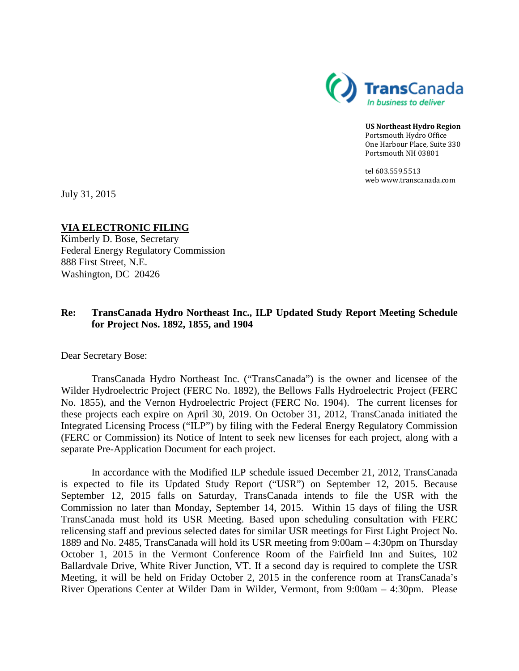

**US Northeast Hydro Region** Portsmouth Hydro Office One Harbour Place, Suite 330 Portsmouth NH 03801

tel 603.559.5513 web www.transcanada.com

July 31, 2015

## **VIA ELECTRONIC FILING**

Kimberly D. Bose, Secretary Federal Energy Regulatory Commission 888 First Street, N.E. Washington, DC 20426

# **Re: TransCanada Hydro Northeast Inc., ILP Updated Study Report Meeting Schedule for Project Nos. 1892, 1855, and 1904**

Dear Secretary Bose:

TransCanada Hydro Northeast Inc. ("TransCanada") is the owner and licensee of the Wilder Hydroelectric Project (FERC No. 1892), the Bellows Falls Hydroelectric Project (FERC No. 1855), and the Vernon Hydroelectric Project (FERC No. 1904). The current licenses for these projects each expire on April 30, 2019. On October 31, 2012, TransCanada initiated the Integrated Licensing Process ("ILP") by filing with the Federal Energy Regulatory Commission (FERC or Commission) its Notice of Intent to seek new licenses for each project, along with a separate Pre-Application Document for each project.

In accordance with the Modified ILP schedule issued December 21, 2012, TransCanada is expected to file its Updated Study Report ("USR") on September 12, 2015. Because September 12, 2015 falls on Saturday, TransCanada intends to file the USR with the Commission no later than Monday, September 14, 2015. Within 15 days of filing the USR TransCanada must hold its USR Meeting. Based upon scheduling consultation with FERC relicensing staff and previous selected dates for similar USR meetings for First Light Project No. 1889 and No. 2485, TransCanada will hold its USR meeting from 9:00am – 4:30pm on Thursday October 1, 2015 in the Vermont Conference Room of the Fairfield Inn and Suites, 102 Ballardvale Drive, White River Junction, VT. If a second day is required to complete the USR Meeting, it will be held on Friday October 2, 2015 in the conference room at TransCanada's River Operations Center at Wilder Dam in Wilder, Vermont, from 9:00am – 4:30pm. Please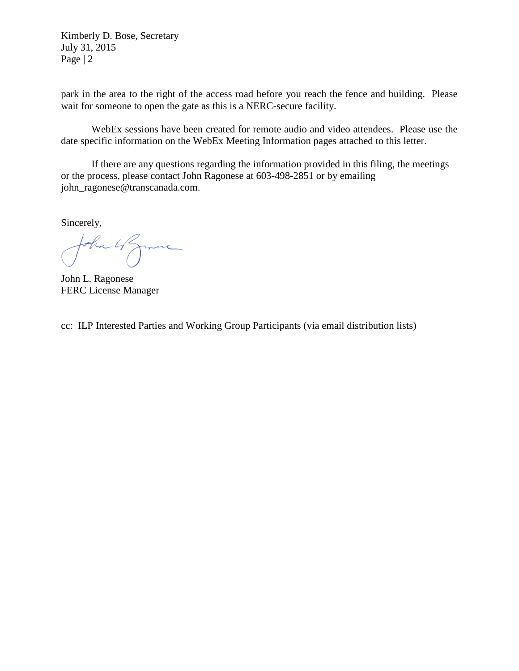Kimberly D. Bose, Secretary July 31, 2015 Page | 2

park in the area to the right of the access road before you reach the fence and building. Please wait for someone to open the gate as this is a NERC-secure facility.

WebEx sessions have been created for remote audio and video attendees. Please use the date specific information on the WebEx Meeting Information pages attached to this letter.

If there are any questions regarding the information provided in this filing, the meetings or the process, please contact John Ragonese at 603-498-2851 or by emailing john\_ragonese@transcanada.com.

Sincerely,

the UZmere

John L. Ragonese FERC License Manager

cc: ILP Interested Parties and Working Group Participants (via email distribution lists)